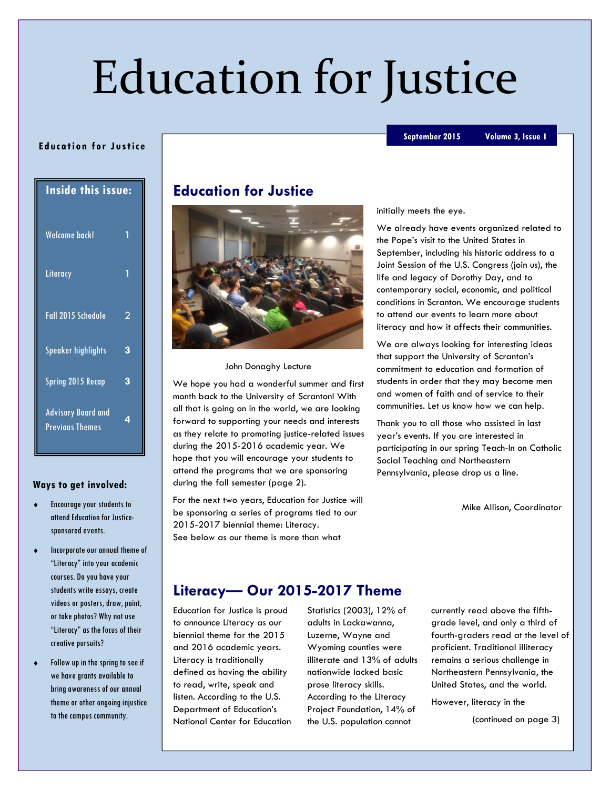# Education for Justice

#### September 2015 Volume 3, Issue 1

| <b>Inside this issue:</b> |   |
|---------------------------|---|
| <b>Welcome back!</b>      |   |
| Literacy                  |   |
| Fall 2015 Schedule        | 2 |
| Speaker highlights        | 3 |
| <b>Spring 2015 Recap</b>  | 3 |
| <b>Advisory Board and</b> |   |

Ed uca tion for Justice

## Ways to get involved:

Previous Themes

4

- Encourage your students to attend Education for Justicesponsored events.
- Incorporate our annual theme of "Literacy" into your academic courses. Do you have your students write essays, create videos or posters, draw, paint, or take photos? Why not use "Literacy" as the focus of their creative pursuits?
- Follow up in the spring to see if we have grants available to bring awareness of our annual theme or other ongoing injustice to the campus community.

## Education for Justice



John Donaghy Lecture

We hope you had a wonderful summer and first month back to the University of Scranton! With all that is going on in the world, we are looking forward to supporting your needs and interests as they relate to promoting justice-related issues during the 2015-2016 academic year. We hope that you will encourage your students to attend the programs that we are sponsoring during the fall semester (page 2).

For the next two years, Education for Justice will be sponsoring a series of programs tied to our 2015-2017 biennial theme: Literacy. See below as our theme is more than what

initially meets the eye.

We already have events organized related to the Pope's visit to the United States in September, including his historic address to a Joint Session of the U.S. Congress (join us), the life and legacy of Dorothy Day, and to contemporary social, economic, and political conditions in Scranton. We encourage students to attend our events to learn more about literacy and how it affects their communities.

We are always looking for interesting ideas that support the University of Scranton's commitment to education and formation of students in order that they may become men and women of faith and of service to their communities. Let us know how we can help.

Thank you to all those who assisted in last year's events. If you are interested in participating in our spring Teach-In on Catholic Social Teaching and Northeastern Pennsylvania, please drop us a line.

Mike Allison, Coordinator

## Literacy— Our 2015-2017 Theme

Education for Justice is proud to announce Literacy as our biennial theme for the 2015 and 2016 academic years. Literacy is traditionally defined as having the ability to read, write, speak and listen. According to the U.S. Department of Education's National Center for Education Statistics (2003), 12% of adults in Lackawanna, Luzerne, Wayne and Wyoming counties were illiterate and 13% of adults nationwide lacked basic prose literacy skills. According to the Literacy Project Foundation, 14% of the U.S. population cannot

currently read above the fifthgrade level, and only a third of fourth-graders read at the level of proficient. Traditional illiteracy remains a serious challenge in Northeastern Pennsylvania, the United States, and the world.

However, literacy in the

(continued on page 3)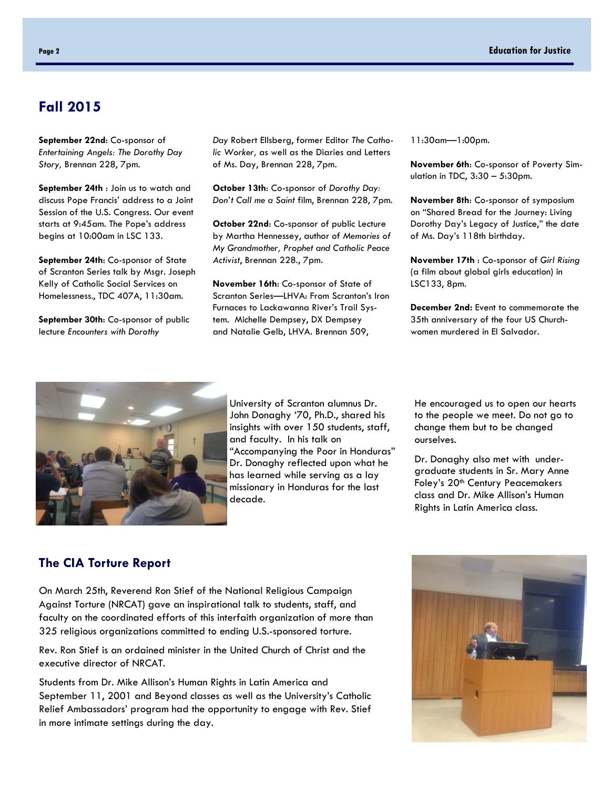## Fall 2015

September 22nd: Co-sponsor of Entertaining Angels: The Dorothy Day Story, Brennan 228, 7pm.

September 24th : Join us to watch and discuss Pope Francis' address to a Joint Session of the U.S. Congress. Our event starts at 9:45am. The Pope's address begins at 10:00am in LSC 133.

September 24th: Co-sponsor of State of Scranton Series talk by Msgr. Joseph Kelly of Catholic Social Services on Homelessness., TDC 407A, 11:30am.

September 30th: Co-sponsor of public lecture Encounters with Dorothy

Day Robert Ellsberg, former Editor The Catholic Worker, as well as the Diaries and Letters of Ms. Day, Brennan 228, 7pm.

October 13th: Co-sponsor of Dorothy Day: Don't Call me a Saint film, Brennan 228, 7pm.

October 22nd: Co-sponsor of public Lecture by Martha Hennessey, author of Memories of My Grandmother, Prophet and Catholic Peace Activist, Brennan 228., 7pm.

November 16th: Co-sponsor of State of Scranton Series—LHVA: From Scranton's Iron Furnaces to Lackawanna River's Trail System. Michelle Dempsey, DX Dempsey and Natalie Gelb, LHVA. Brennan 509,

11:30am—1:00pm.

November 6th: Co-sponsor of Poverty Simulation in TDC, 3:30 – 5:30pm.

November 8th: Co-sponsor of symposium on "Shared Bread for the Journey: Living Dorothy Day's Legacy of Justice," the date of Ms. Day's 118th birthday.

November 17th : Co-sponsor of Girl Rising (a film about global girls education) in LSC133, 8pm.

December 2nd: Event to commemorate the 35th anniversary of the four US Churchwomen murdered in El Salvador.



University of Scranton alumnus Dr. John Donaghy '70, Ph.D., shared his insights with over 150 students, staff, and faculty. In his talk on "Accompanying the Poor in Honduras" Dr. Donaghy reflected upon what he has learned while serving as a lay missionary in Honduras for the last decade.

He encouraged us to open our hearts to the people we meet. Do not go to change them but to be changed ourselves.

Dr. Donaghy also met with undergraduate students in Sr. Mary Anne Foley's 20<sup>th</sup> Century Peacemakers class and Dr. Mike Allison's Human Rights in Latin America class.

#### The CIA Torture Report

On March 25th, Reverend Ron Stief of the National Religious Campaign Against Torture (NRCAT) gave an inspirational talk to students, staff, and faculty on the coordinated efforts of this interfaith organization of more than 325 religious organizations committed to ending U.S.-sponsored torture.

Rev. Ron Stief is an ordained minister in the United Church of Christ and the executive director of NRCAT.

Students from Dr. Mike Allison's Human Rights in Latin America and September 11, 2001 and Beyond classes as well as the University's Catholic Relief Ambassadors' program had the opportunity to engage with Rev. Stief in more intimate settings during the day.

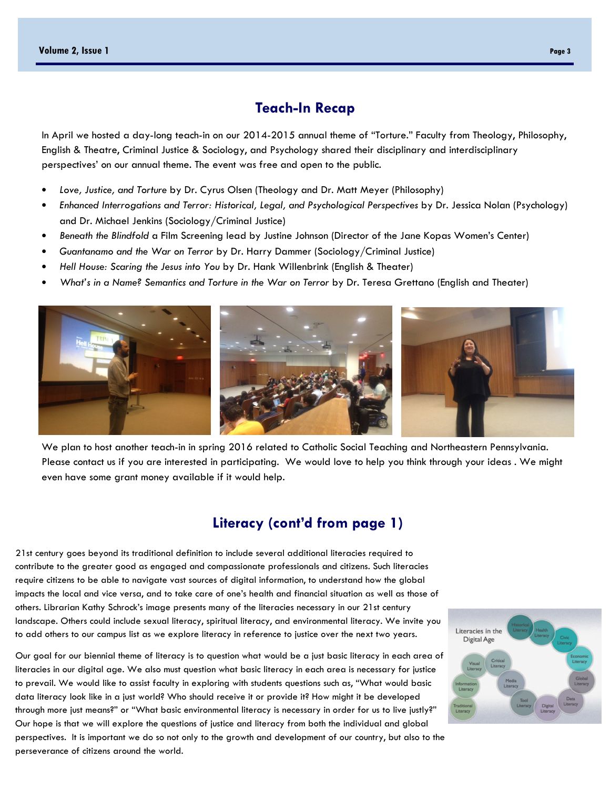#### Teach-In Recap

In April we hosted a day-long teach-in on our 2014-2015 annual theme of "Torture." Faculty from Theology, Philosophy, English & Theatre, Criminal Justice & Sociology, and Psychology shared their disciplinary and interdisciplinary perspectives' on our annual theme. The event was free and open to the public.

- Love, Justice, and Torture by Dr. Cyrus Olsen (Theology and Dr. Matt Meyer (Philosophy)
- Enhanced Interrogations and Terror: Historical, Legal, and Psychological Perspectives by Dr. Jessica Nolan (Psychology) and Dr. Michael Jenkins (Sociology/Criminal Justice)
- Beneath the Blindfold a Film Screening lead by Justine Johnson (Director of the Jane Kopas Women's Center)
- Guantanamo and the War on Terror by Dr. Harry Dammer (Sociology/Criminal Justice)
- Hell House: Scaring the Jesus into You by Dr. Hank Willenbrink (English & Theater)
- What's in a Name? Semantics and Torture in the War on Terror by Dr. Teresa Grettano (English and Theater)



We plan to host another teach-in in spring 2016 related to Catholic Social Teaching and Northeastern Pennsylvania. Please contact us if you are interested in participating. We would love to help you think through your ideas . We might even have some grant money available if it would help.

### Literacy (cont'd from page 1)

21st century goes beyond its traditional definition to include several additional literacies required to contribute to the greater good as engaged and compassionate professionals and citizens. Such literacies require citizens to be able to navigate vast sources of digital information, to understand how the global impacts the local and vice versa, and to take care of one's health and financial situation as well as those of others. Librarian Kathy Schrock's image presents many of the literacies necessary in our 21st century landscape. Others could include sexual literacy, spiritual literacy, and environmental literacy. We invite you to add others to our campus list as we explore literacy in reference to justice over the next two years.

Our goal for our biennial theme of literacy is to question what would be a just basic literacy in each area of literacies in our digital age. We also must question what basic literacy in each area is necessary for justice to prevail. We would like to assist faculty in exploring with students questions such as, "What would basic data literacy look like in a just world? Who should receive it or provide it? How might it be developed through more just means?" or "What basic environmental literacy is necessary in order for us to live justly?" Our hope is that we will explore the questions of justice and literacy from both the individual and global perspectives. It is important we do so not only to the growth and development of our country, but also to the perseverance of citizens around the world.